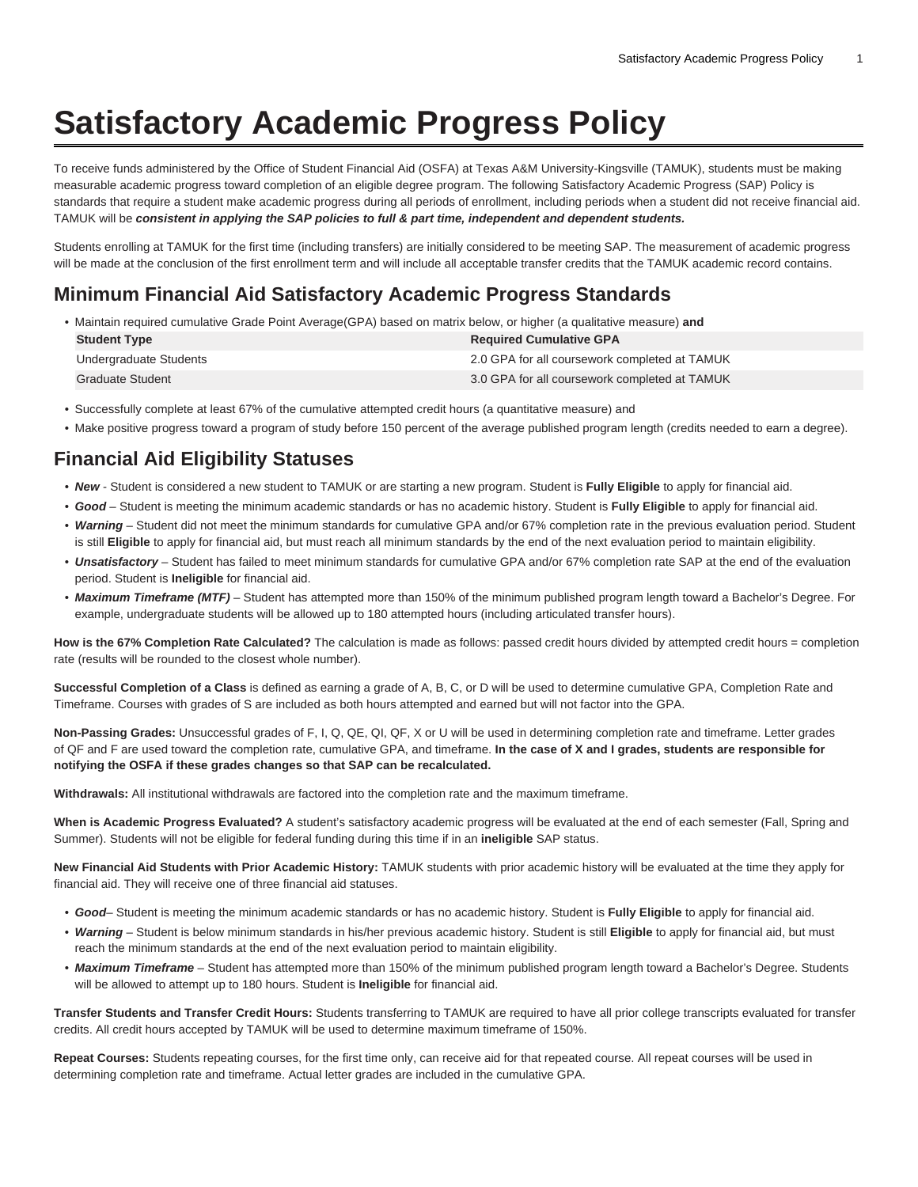## **Satisfactory Academic Progress Policy**

To receive funds administered by the Office of Student Financial Aid (OSFA) at Texas A&M University-Kingsville (TAMUK), students must be making measurable academic progress toward completion of an eligible degree program. The following Satisfactory Academic Progress (SAP) Policy is standards that require a student make academic progress during all periods of enrollment, including periods when a student did not receive financial aid. TAMUK will be **consistent in applying the SAP policies to full & part time, independent and dependent students.**

Students enrolling at TAMUK for the first time (including transfers) are initially considered to be meeting SAP. The measurement of academic progress will be made at the conclusion of the first enrollment term and will include all acceptable transfer credits that the TAMUK academic record contains.

## **Minimum Financial Aid Satisfactory Academic Progress Standards**

• Maintain required cumulative Grade Point Average(GPA) based on matrix below, or higher (a qualitative measure) **and**

| <b>Student Type</b>    | <b>Required Cumulative GPA</b>                |
|------------------------|-----------------------------------------------|
| Undergraduate Students | 2.0 GPA for all coursework completed at TAMUK |
| Graduate Student       | 3.0 GPA for all coursework completed at TAMUK |

- Successfully complete at least 67% of the cumulative attempted credit hours (a quantitative measure) and
- Make positive progress toward a program of study before 150 percent of the average published program length (credits needed to earn a degree).

## **Financial Aid Eligibility Statuses**

- **New**  Student is considered a new student to TAMUK or are starting a new program. Student is **Fully Eligible** to apply for financial aid.
- **Good**  Student is meeting the minimum academic standards or has no academic history. Student is **Fully Eligible** to apply for financial aid.
- **Warning** Student did not meet the minimum standards for cumulative GPA and/or 67% completion rate in the previous evaluation period. Student is still **Eligible** to apply for financial aid, but must reach all minimum standards by the end of the next evaluation period to maintain eligibility.
- **Unsatisfactory**  Student has failed to meet minimum standards for cumulative GPA and/or 67% completion rate SAP at the end of the evaluation period. Student is **Ineligible** for financial aid.
- **Maximum Timeframe (MTF)**  Student has attempted more than 150% of the minimum published program length toward a Bachelor's Degree. For example, undergraduate students will be allowed up to 180 attempted hours (including articulated transfer hours).

**How is the 67% Completion Rate Calculated?** The calculation is made as follows: passed credit hours divided by attempted credit hours = completion rate (results will be rounded to the closest whole number).

**Successful Completion of a Class** is defined as earning a grade of A, B, C, or D will be used to determine cumulative GPA, Completion Rate and Timeframe. Courses with grades of S are included as both hours attempted and earned but will not factor into the GPA.

**Non-Passing Grades:** Unsuccessful grades of F, I, Q, QE, QI, QF, X or U will be used in determining completion rate and timeframe. Letter grades of QF and F are used toward the completion rate, cumulative GPA, and timeframe. **In the case of X and I grades, students are responsible for notifying the OSFA if these grades changes so that SAP can be recalculated.**

**Withdrawals:** All institutional withdrawals are factored into the completion rate and the maximum timeframe.

**When is Academic Progress Evaluated?** A student's satisfactory academic progress will be evaluated at the end of each semester (Fall, Spring and Summer). Students will not be eligible for federal funding during this time if in an **ineligible** SAP status.

**New Financial Aid Students with Prior Academic History:** TAMUK students with prior academic history will be evaluated at the time they apply for financial aid. They will receive one of three financial aid statuses.

- **Good** Student is meeting the minimum academic standards or has no academic history. Student is **Fully Eligible** to apply for financial aid.
- **Warning** Student is below minimum standards in his/her previous academic history. Student is still **Eligible** to apply for financial aid, but must reach the minimum standards at the end of the next evaluation period to maintain eligibility.
- **Maximum Timeframe** Student has attempted more than 150% of the minimum published program length toward a Bachelor's Degree. Students will be allowed to attempt up to 180 hours. Student is **Ineligible** for financial aid.

**Transfer Students and Transfer Credit Hours:** Students transferring to TAMUK are required to have all prior college transcripts evaluated for transfer credits. All credit hours accepted by TAMUK will be used to determine maximum timeframe of 150%.

**Repeat Courses:** Students repeating courses, for the first time only, can receive aid for that repeated course. All repeat courses will be used in determining completion rate and timeframe. Actual letter grades are included in the cumulative GPA.